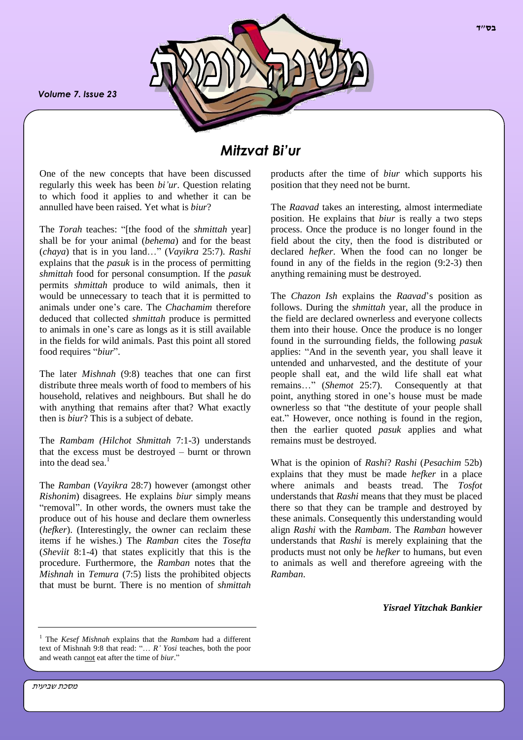*Volume 7. Issue 23*



# *Mitzvat Bi'ur*

One of the new concepts that have been discussed regularly this week has been *bi'ur*. Question relating to which food it applies to and whether it can be annulled have been raised. Yet what is *biur*?

The *Torah* teaches: "[the food of the *shmittah* year] shall be for your animal (*behema*) and for the beast (*chaya*) that is in you land…" (*Vayikra* 25:7). *Rashi*  explains that the *pasuk* is in the process of permitting *shmittah* food for personal consumption. If the *pasuk* permits *shmittah* produce to wild animals, then it would be unnecessary to teach that it is permitted to animals under one's care. The *Chachamim* therefore deduced that collected *shmittah* produce is permitted to animals in one's care as longs as it is still available in the fields for wild animals. Past this point all stored food requires "*biur*".

The later *Mishnah* (9:8) teaches that one can first distribute three meals worth of food to members of his household, relatives and neighbours. But shall he do with anything that remains after that? What exactly then is *biur*? This is a subject of debate.

The *Rambam (Hilchot Shmittah* 7:1-3) understands that the excess must be destroyed – burnt or thrown into the dead sea. 1

The *Ramban* (*Vayikra* 28:7) however (amongst other *Rishonim*) disagrees. He explains *biur* simply means "removal". In other words, the owners must take the produce out of his house and declare them ownerless (*hefker*). (Interestingly, the owner can reclaim these items if he wishes.) The *Ramban* cites the *Tosefta*  (*Sheviit* 8:1-4) that states explicitly that this is the procedure. Furthermore, the *Ramban* notes that the *Mishnah* in *Temura* (7:5) lists the prohibited objects that must be burnt. There is no mention of *shmittah*

products after the time of *biur* which supports his position that they need not be burnt.

The *Raavad* takes an interesting, almost intermediate position. He explains that *biur* is really a two steps process. Once the produce is no longer found in the field about the city, then the food is distributed or declared *hefker*. When the food can no longer be found in any of the fields in the region (9:2-3) then anything remaining must be destroyed.

The *Chazon Ish* explains the *Raavad*'s position as follows. During the *shmittah* year, all the produce in the field are declared ownerless and everyone collects them into their house. Once the produce is no longer found in the surrounding fields, the following *pasuk* applies: "And in the seventh year, you shall leave it untended and unharvested, and the destitute of your people shall eat, and the wild life shall eat what remains…" (*Shemot* 25:7). Consequently at that point, anything stored in one's house must be made ownerless so that "the destitute of your people shall eat." However, once nothing is found in the region, then the earlier quoted *pasuk* applies and what remains must be destroyed.

What is the opinion of *Rashi*? *Rashi* (*Pesachim* 52b) explains that they must be made *hefker* in a place where animals and beasts tread. The *Tosfot* understands that *Rashi* means that they must be placed there so that they can be trample and destroyed by these animals. Consequently this understanding would align *Rashi* with the *Rambam*. The *Ramban* however understands that *Rashi* is merely explaining that the products must not only be *hefker* to humans, but even to animals as well and therefore agreeing with the *Ramban*.

*Yisrael Yitzchak Bankier*

מסכת שביעית

<sup>1</sup> The *Kesef Mishnah* explains that the *Rambam* had a different text of Mishnah 9:8 that read: "… *R' Yosi* teaches, both the poor and weath cannot eat after the time of *biur*."